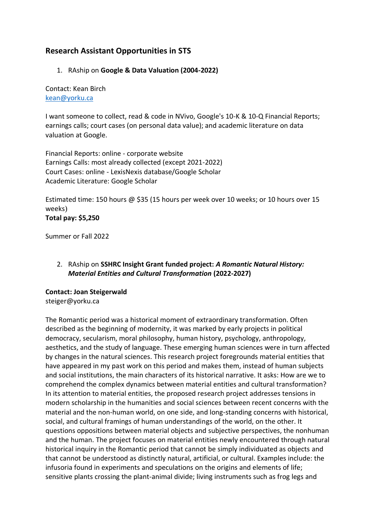# **Research Assistant Opportunities in STS**

#### 1. RAship on **Google & Data Valuation (2004-2022)**

Contact: Kean Birch [kean@yorku.ca](mailto:kean@yorku.ca)

I want someone to collect, read & code in NVivo, Google's 10-K & 10-Q Financial Reports; earnings calls; court cases (on personal data value); and academic literature on data valuation at Google.

Financial Reports: online - corporate website Earnings Calls: most already collected (except 2021-2022) Court Cases: online - LexisNexis database/Google Scholar Academic Literature: Google Scholar

Estimated time: 150 hours @ \$35 (15 hours per week over 10 weeks; or 10 hours over 15 weeks) **Total pay: \$5,250**

Summer or Fall 2022

## 2. RAship on **SSHRC Insight Grant funded project:** *A Romantic Natural History: Material Entities and Cultural Transformation* **(2022-2027)**

## **Contact: Joan Steigerwald**

steiger@yorku.ca

The Romantic period was a historical moment of extraordinary transformation. Often described as the beginning of modernity, it was marked by early projects in political democracy, secularism, moral philosophy, human history, psychology, anthropology, aesthetics, and the study of language. These emerging human sciences were in turn affected by changes in the natural sciences. This research project foregrounds material entities that have appeared in my past work on this period and makes them, instead of human subjects and social institutions, the main characters of its historical narrative. It asks: How are we to comprehend the complex dynamics between material entities and cultural transformation? In its attention to material entities, the proposed research project addresses tensions in modern scholarship in the humanities and social sciences between recent concerns with the material and the non-human world, on one side, and long-standing concerns with historical, social, and cultural framings of human understandings of the world, on the other. It questions oppositions between material objects and subjective perspectives, the nonhuman and the human. The project focuses on material entities newly encountered through natural historical inquiry in the Romantic period that cannot be simply individuated as objects and that cannot be understood as distinctly natural, artificial, or cultural. Examples include: the infusoria found in experiments and speculations on the origins and elements of life; sensitive plants crossing the plant-animal divide; living instruments such as frog legs and